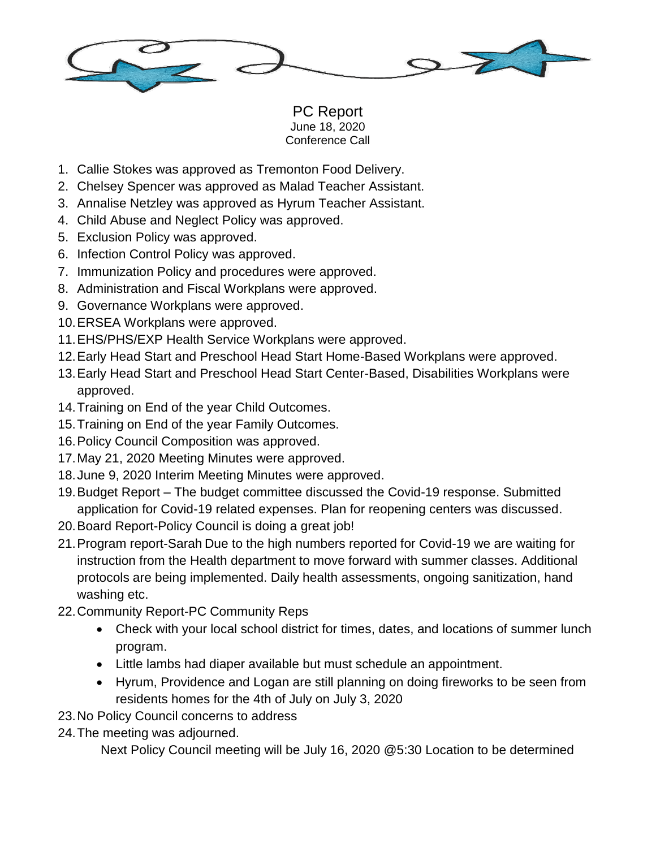

PC Report June 18, 2020 Conference Call

- 1. Callie Stokes was approved as Tremonton Food Delivery.
- 2. Chelsey Spencer was approved as Malad Teacher Assistant.
- 3. Annalise Netzley was approved as Hyrum Teacher Assistant.
- 4. Child Abuse and Neglect Policy was approved.
- 5. Exclusion Policy was approved.
- 6. Infection Control Policy was approved.
- 7. Immunization Policy and procedures were approved.
- 8. Administration and Fiscal Workplans were approved.
- 9. Governance Workplans were approved.
- 10.ERSEA Workplans were approved.
- 11.EHS/PHS/EXP Health Service Workplans were approved.
- 12.Early Head Start and Preschool Head Start Home-Based Workplans were approved.
- 13.Early Head Start and Preschool Head Start Center-Based, Disabilities Workplans were approved.
- 14.Training on End of the year Child Outcomes.
- 15.Training on End of the year Family Outcomes.
- 16.Policy Council Composition was approved.
- 17.May 21, 2020 Meeting Minutes were approved.
- 18.June 9, 2020 Interim Meeting Minutes were approved.
- 19.Budget Report The budget committee discussed the Covid-19 response. Submitted application for Covid-19 related expenses. Plan for reopening centers was discussed.
- 20.Board Report-Policy Council is doing a great job!
- 21.Program report-Sarah Due to the high numbers reported for Covid-19 we are waiting for instruction from the Health department to move forward with summer classes. Additional protocols are being implemented. Daily health assessments, ongoing sanitization, hand washing etc.
- 22.Community Report-PC Community Reps
	- Check with your local school district for times, dates, and locations of summer lunch program.
	- Little lambs had diaper available but must schedule an appointment.
	- Hyrum, Providence and Logan are still planning on doing fireworks to be seen from residents homes for the 4th of July on July 3, 2020
- 23.No Policy Council concerns to address
- 24.The meeting was adjourned.

Next Policy Council meeting will be July 16, 2020 @5:30 Location to be determined